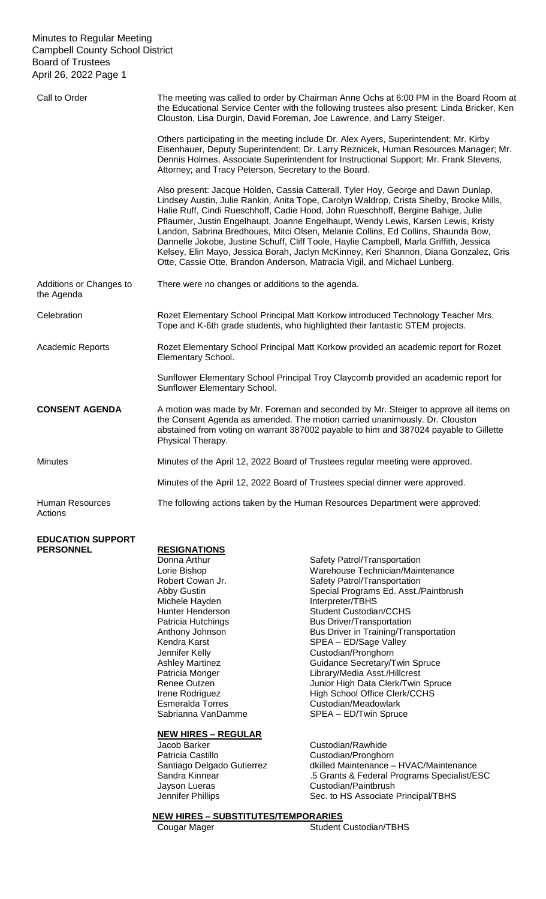| Call to Order                         | The meeting was called to order by Chairman Anne Ochs at 6:00 PM in the Board Room at<br>the Educational Service Center with the following trustees also present: Linda Bricker, Ken<br>Clouston, Lisa Durgin, David Foreman, Joe Lawrence, and Larry Steiger.                                                                                                                                                                                                                                                                                                                                                                                                                                             |
|---------------------------------------|------------------------------------------------------------------------------------------------------------------------------------------------------------------------------------------------------------------------------------------------------------------------------------------------------------------------------------------------------------------------------------------------------------------------------------------------------------------------------------------------------------------------------------------------------------------------------------------------------------------------------------------------------------------------------------------------------------|
|                                       | Others participating in the meeting include Dr. Alex Ayers, Superintendent; Mr. Kirby<br>Eisenhauer, Deputy Superintendent; Dr. Larry Reznicek, Human Resources Manager; Mr.<br>Dennis Holmes, Associate Superintendent for Instructional Support; Mr. Frank Stevens,<br>Attorney; and Tracy Peterson, Secretary to the Board.                                                                                                                                                                                                                                                                                                                                                                             |
|                                       | Also present: Jacque Holden, Cassia Catterall, Tyler Hoy, George and Dawn Dunlap,<br>Lindsey Austin, Julie Rankin, Anita Tope, Carolyn Waldrop, Crista Shelby, Brooke Mills,<br>Halie Ruff, Cindi Rueschhoff, Cadie Hood, John Rueschhoff, Bergine Bahige, Julie<br>Pflaumer, Justin Engelhaupt, Joanne Engelhaupt, Wendy Lewis, Karsen Lewis, Kristy<br>Landon, Sabrina Bredhoues, Mitci Olsen, Melanie Collins, Ed Collins, Shaunda Bow,<br>Dannelle Jokobe, Justine Schuff, Cliff Toole, Haylie Campbell, Marla Griffith, Jessica<br>Kelsey, Elin Mayo, Jessica Borah, Jaclyn McKinney, Keri Shannon, Diana Gonzalez, Gris<br>Otte, Cassie Otte, Brandon Anderson, Matracia Vigil, and Michael Lunberg. |
| Additions or Changes to<br>the Agenda | There were no changes or additions to the agenda.                                                                                                                                                                                                                                                                                                                                                                                                                                                                                                                                                                                                                                                          |
| Celebration                           | Rozet Elementary School Principal Matt Korkow introduced Technology Teacher Mrs.<br>Tope and K-6th grade students, who highlighted their fantastic STEM projects.                                                                                                                                                                                                                                                                                                                                                                                                                                                                                                                                          |
| Academic Reports                      | Rozet Elementary School Principal Matt Korkow provided an academic report for Rozet<br>Elementary School.                                                                                                                                                                                                                                                                                                                                                                                                                                                                                                                                                                                                  |
|                                       | Sunflower Elementary School Principal Troy Claycomb provided an academic report for<br>Sunflower Elementary School.                                                                                                                                                                                                                                                                                                                                                                                                                                                                                                                                                                                        |
| <b>CONSENT AGENDA</b>                 | A motion was made by Mr. Foreman and seconded by Mr. Steiger to approve all items on<br>the Consent Agenda as amended. The motion carried unanimously. Dr. Clouston<br>abstained from voting on warrant 387002 payable to him and 387024 payable to Gillette<br>Physical Therapy.                                                                                                                                                                                                                                                                                                                                                                                                                          |
| <b>Minutes</b>                        | Minutes of the April 12, 2022 Board of Trustees regular meeting were approved.                                                                                                                                                                                                                                                                                                                                                                                                                                                                                                                                                                                                                             |
|                                       | Minutes of the April 12, 2022 Board of Trustees special dinner were approved.                                                                                                                                                                                                                                                                                                                                                                                                                                                                                                                                                                                                                              |
| <b>Human Resources</b><br>Actions     | The following actions taken by the Human Resources Department were approved:                                                                                                                                                                                                                                                                                                                                                                                                                                                                                                                                                                                                                               |

# **EDUCATION SUPPORT**

## **RESIGNATIONS**

Michele Hayden **Interpreter/TBHS** Jennifer Kelly<br>
Ashley Martinez<br>
Guidance Secretary/T

### **NEW HIRES – REGULAR**

Jacob Barker **Custodian/Rawhide** Patricia Castillo<br>
Santiago Delgado Gutierrez dkilled Maintenance -Jayson Lueras **Custodian/Paintbrush** 

Donna Arthur Safety Patrol/Transportation Lorie Bishop Warehouse Technician/Maintenance Robert Cowan Jr. Safety Patrol/Transportation<br>Abby Gustin Special Programs Ed. Asst./ Special Programs Ed. Asst./Paintbrush Hunter Henderson Student Custodian/CCHS<br>
Patricia Hutchings Student Custodian/CCHS<br>
Bus Driver/Transportation **Bus Driver/Transportation** Anthony Johnson Bus Driver in Training/Transportation<br>Kendra Karst SPEA – ED/Sage Valley Kendra Karst **SPEA** – ED/Sage Valley<br>
Jennifer Kelly **SPEA** – Custodian/Pronghorn Guidance Secretary/Twin Spruce Patricia Monger Library/Media Asst./Hillcrest<br>Renee Outzen Library/Media Asst./Hillcrest<br>Junior High Data Clerk/Twin Junior High Data Clerk/Twin Spruce Irene Rodriguez **High School Office Clerk/CCHS** Esmeralda Torres Custodian/Meadowlark<br>
Sabrianna VanDamme SPEA - ED/Twin Spruc SPEA – ED/Twin Spruce

dkilled Maintenance – HVAC/Maintenance Sandra Kinnear .5 Grants & Federal Programs Specialist/ESC Jennifer Phillips Sec. to HS Associate Principal/TBHS

# **NEW HIRES – SUBSTITUTES/TEMPORARIES**

Student Custodian/TBHS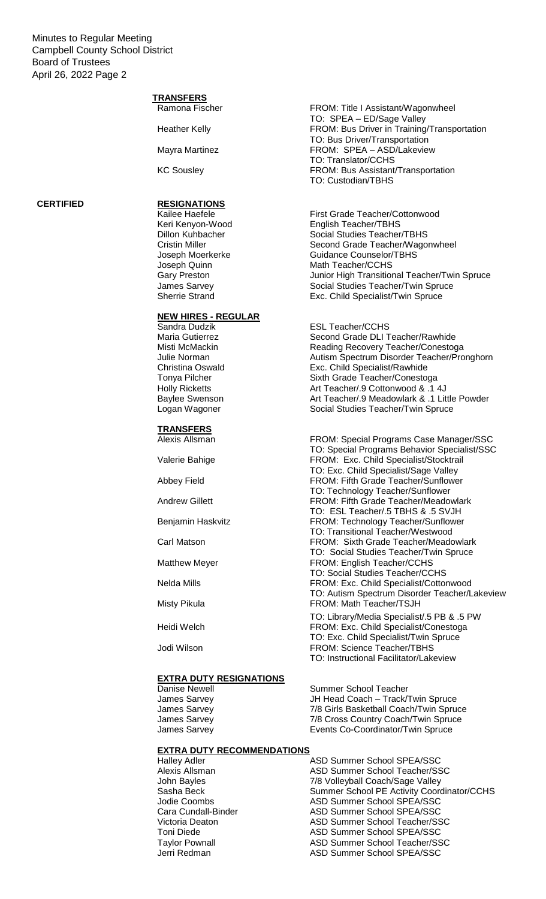# **TRANSFERS**

## **CERTIFIED RESIGNATIONS**

# **NEW HIRES - REGULAR**

**TRANSFERS**

### **EXTRA DUTY RESIGNATIONS**

## **EXTRA DUTY RECOMMENDATIONS**

Ramona Fischer FROM: Title I Assistant/Wagonwheel TO: SPEA – ED/Sage Valley Heather Kelly **FROM: Bus Driver in Training/Transportation** TO: Bus Driver/Transportation Mayra Martinez **FROM: SPEA – ASD/Lakeview** TO: Translator/CCHS KC Sousley **FROM: Bus Assistant/Transportation** TO: Custodian/TBHS

Kailee Haefele First Grade Teacher/Cottonwood Keri Kenyon-Wood English Teacher/TBHS<br>
Dillon Kuhbacher Social Studies Teacher Social Studies Teacher/TBHS Cristin Miller Second Grade Teacher/Wagonwheel Joseph Moerkerke Guidance Counselor/TBHS<br>
Joseph Quinn Math Teacher/CCHS Math Teacher/CCHS Gary Preston **Gary Preston** Junior High Transitional Teacher/Twin Spruce James Sarvey **Social Studies Teacher/Twin Spruce** Sherrie Strand **Exc. Child Specialist/Twin Spruce** 

ESL Teacher/CCHS Maria Gutierrez **Second Grade DLI Teacher/Rawhide**<br>Misti McMackin **Second Grading Recovery Teacher/Conestoc** 

Misti McMackin **Misti Accovery Teacher/Conestoga**<br>
Uulie Norman **Misti Autism Spectrum Disorder Teacher/Pro** Julie Norman **Autism Spectrum Disorder Teacher/Pronghorn**<br>Christina Oswald **Autism Spectrum Disorder Teacher/Pronghorn** Exc. Child Specialist/Rawhide Tonya Pilcher Sixth Grade Teacher/Conestoga Holly Ricketts **Art Teacher/.9 Cottonwood & .1 4J** Baylee Swenson **Art Teacher/.9 Meadowlark & .1 Little Powder**<br>
Logan Wagoner **Art Teacher/Twin Spruce**<br>
Social Studies Teacher/Twin Spruce Social Studies Teacher/Twin Spruce

Alexis Allsman FROM: Special Programs Case Manager/SSC TO: Special Programs Behavior Specialist/SSC Valerie Bahige FROM: Exc. Child Specialist/Stocktrail TO: Exc. Child Specialist/Sage Valley Abbey Field **FROM: Fifth Grade Teacher/Sunflower** TO: Technology Teacher/Sunflower Andrew Gillett **FROM:** Fifth Grade Teacher/Meadowlark TO: ESL Teacher/.5 TBHS & .5 SVJH Benjamin Haskvitz FROM: Technology Teacher/Sunflower TO: Transitional Teacher/Westwood Carl Matson FROM: Sixth Grade Teacher/Meadowlark TO: Social Studies Teacher/Twin Spruce Matthew Meyer **FROM: English Teacher/CCHS** TO: Social Studies Teacher/CCHS Nelda Mills FROM: Exc. Child Specialist/Cottonwood TO: Autism Spectrum Disorder Teacher/Lakeview Misty Pikula **FROM: Math Teacher/TSJH** 

TO: Library/Media Specialist/.5 PB & .5 PW Heidi Welch **FROM: Exc. Child Specialist/Conestoga** TO: Exc. Child Specialist/Twin Spruce Jodi Wilson FROM: Science Teacher/TBHS TO: Instructional Facilitator/Lakeview

Danise Newell **Summer School Teacher** Summer School Teacher James Sarvey JH Head Coach – Track/Twin Spruce James Sarvey **7/8 Girls Basketball Coach/Twin Spruce** James Sarvey **1988** T/8 Cross Country Coach/Twin Spruce James Sarvey **Exercis** Events Co-Coordinator/Twin Spruce

Halley Adler **ASD Summer School SPEA/SSC**<br>Alexis Allsman **ASD Summer School Teacher/SS** ASD Summer School Teacher/SSC John Bayles 7/8 Volleyball Coach/Sage Valley Sasha Beck Summer School PE Activity Coordinator/CCHS<br>Jodie Coombs ASD Summer School SPEA/SSC ASD Summer School SPEA/SSC Cara Cundall-Binder **ASD Summer School SPEA/SSC**<br>Victoria Deaton **ASD Summer School Teacher/SS** ASD Summer School Teacher/SSC Toni Diede ASD Summer School SPEA/SSC Taylor Pownall **ASD Summer School Teacher/SSC** Jerri Redman ASD Summer School SPEA/SSC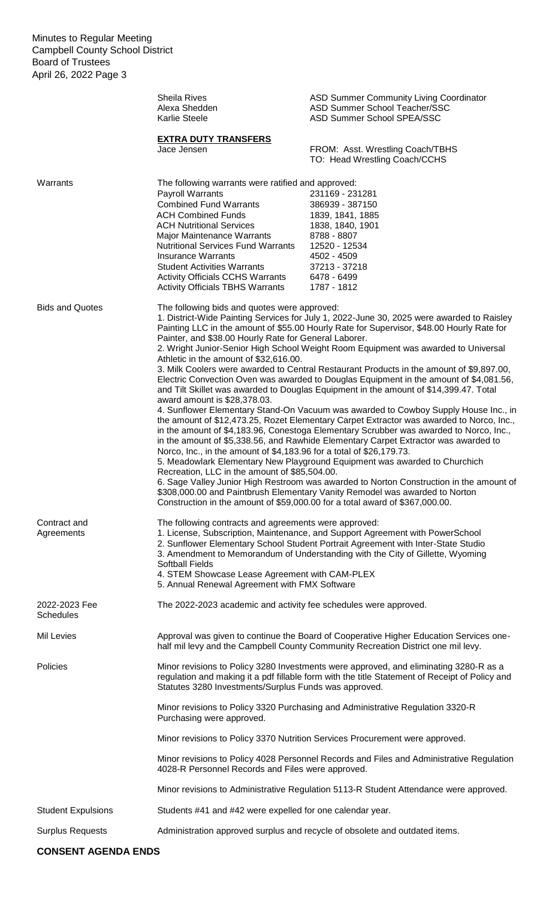|                                   | <b>Sheila Rives</b><br>Alexa Shedden<br>Karlie Steele                                                                                                                                                                                                                                                                                                                                                                                                                                                                                                                                                                                                                                                                                                                                                                                                                                                                                                                                                                                                                                                                                                                                                                                                                                                                                                                                                                                                                                                                                                                               | ASD Summer Community Living Coordinator<br>ASD Summer School Teacher/SSC<br>ASD Summer School SPEA/SSC                                                                                                                                               |  |
|-----------------------------------|-------------------------------------------------------------------------------------------------------------------------------------------------------------------------------------------------------------------------------------------------------------------------------------------------------------------------------------------------------------------------------------------------------------------------------------------------------------------------------------------------------------------------------------------------------------------------------------------------------------------------------------------------------------------------------------------------------------------------------------------------------------------------------------------------------------------------------------------------------------------------------------------------------------------------------------------------------------------------------------------------------------------------------------------------------------------------------------------------------------------------------------------------------------------------------------------------------------------------------------------------------------------------------------------------------------------------------------------------------------------------------------------------------------------------------------------------------------------------------------------------------------------------------------------------------------------------------------|------------------------------------------------------------------------------------------------------------------------------------------------------------------------------------------------------------------------------------------------------|--|
|                                   | <b>EXTRA DUTY TRANSFERS</b><br>Jace Jensen                                                                                                                                                                                                                                                                                                                                                                                                                                                                                                                                                                                                                                                                                                                                                                                                                                                                                                                                                                                                                                                                                                                                                                                                                                                                                                                                                                                                                                                                                                                                          | FROM: Asst. Wrestling Coach/TBHS<br>TO: Head Wrestling Coach/CCHS                                                                                                                                                                                    |  |
| Warrants                          | The following warrants were ratified and approved:<br><b>Payroll Warrants</b><br><b>Combined Fund Warrants</b><br><b>ACH Combined Funds</b><br><b>ACH Nutritional Services</b><br>Major Maintenance Warrants<br><b>Nutritional Services Fund Warrants</b><br><b>Insurance Warrants</b><br><b>Student Activities Warrants</b><br><b>Activity Officials CCHS Warrants</b><br><b>Activity Officials TBHS Warrants</b>                                                                                                                                                                                                                                                                                                                                                                                                                                                                                                                                                                                                                                                                                                                                                                                                                                                                                                                                                                                                                                                                                                                                                                  | 231169 - 231281<br>386939 - 387150<br>1839, 1841, 1885<br>1838, 1840, 1901<br>8788 - 8807<br>12520 - 12534<br>4502 - 4509<br>37213 - 37218<br>6478 - 6499<br>1787 - 1812                                                                             |  |
| <b>Bids and Quotes</b>            | The following bids and quotes were approved:<br>1. District-Wide Painting Services for July 1, 2022-June 30, 2025 were awarded to Raisley<br>Painting LLC in the amount of \$55.00 Hourly Rate for Supervisor, \$48.00 Hourly Rate for<br>Painter, and \$38.00 Hourly Rate for General Laborer.<br>2. Wright Junior-Senior High School Weight Room Equipment was awarded to Universal<br>Athletic in the amount of \$32,616.00.<br>3. Milk Coolers were awarded to Central Restaurant Products in the amount of \$9,897.00,<br>Electric Convection Oven was awarded to Douglas Equipment in the amount of \$4,081.56,<br>and Tilt Skillet was awarded to Douglas Equipment in the amount of \$14,399.47. Total<br>award amount is \$28,378.03.<br>4. Sunflower Elementary Stand-On Vacuum was awarded to Cowboy Supply House Inc., in<br>the amount of \$12,473.25, Rozet Elementary Carpet Extractor was awarded to Norco, Inc.,<br>in the amount of \$4,183.96, Conestoga Elementary Scrubber was awarded to Norco, Inc.,<br>in the amount of \$5,338.56, and Rawhide Elementary Carpet Extractor was awarded to<br>Norco, Inc., in the amount of \$4,183.96 for a total of \$26,179.73.<br>5. Meadowlark Elementary New Playground Equipment was awarded to Churchich<br>Recreation, LLC in the amount of \$85,504.00.<br>6. Sage Valley Junior High Restroom was awarded to Norton Construction in the amount of<br>\$308,000.00 and Paintbrush Elementary Vanity Remodel was awarded to Norton<br>Construction in the amount of \$59,000.00 for a total award of \$367,000.00. |                                                                                                                                                                                                                                                      |  |
| Contract and<br>Agreements        | The following contracts and agreements were approved:<br><b>Softball Fields</b><br>4. STEM Showcase Lease Agreement with CAM-PLEX<br>5. Annual Renewal Agreement with FMX Software                                                                                                                                                                                                                                                                                                                                                                                                                                                                                                                                                                                                                                                                                                                                                                                                                                                                                                                                                                                                                                                                                                                                                                                                                                                                                                                                                                                                  | 1. License, Subscription, Maintenance, and Support Agreement with PowerSchool<br>2. Sunflower Elementary School Student Portrait Agreement with Inter-State Studio<br>3. Amendment to Memorandum of Understanding with the City of Gillette, Wyoming |  |
| 2022-2023 Fee<br><b>Schedules</b> | The 2022-2023 academic and activity fee schedules were approved.                                                                                                                                                                                                                                                                                                                                                                                                                                                                                                                                                                                                                                                                                                                                                                                                                                                                                                                                                                                                                                                                                                                                                                                                                                                                                                                                                                                                                                                                                                                    |                                                                                                                                                                                                                                                      |  |
| Mil Levies                        |                                                                                                                                                                                                                                                                                                                                                                                                                                                                                                                                                                                                                                                                                                                                                                                                                                                                                                                                                                                                                                                                                                                                                                                                                                                                                                                                                                                                                                                                                                                                                                                     | Approval was given to continue the Board of Cooperative Higher Education Services one-<br>half mil levy and the Campbell County Community Recreation District one mil levy.                                                                          |  |
| Policies                          | Statutes 3280 Investments/Surplus Funds was approved.                                                                                                                                                                                                                                                                                                                                                                                                                                                                                                                                                                                                                                                                                                                                                                                                                                                                                                                                                                                                                                                                                                                                                                                                                                                                                                                                                                                                                                                                                                                               | Minor revisions to Policy 3280 Investments were approved, and eliminating 3280-R as a<br>regulation and making it a pdf fillable form with the title Statement of Receipt of Policy and                                                              |  |
|                                   | Purchasing were approved.                                                                                                                                                                                                                                                                                                                                                                                                                                                                                                                                                                                                                                                                                                                                                                                                                                                                                                                                                                                                                                                                                                                                                                                                                                                                                                                                                                                                                                                                                                                                                           | Minor revisions to Policy 3320 Purchasing and Administrative Regulation 3320-R                                                                                                                                                                       |  |
|                                   |                                                                                                                                                                                                                                                                                                                                                                                                                                                                                                                                                                                                                                                                                                                                                                                                                                                                                                                                                                                                                                                                                                                                                                                                                                                                                                                                                                                                                                                                                                                                                                                     | Minor revisions to Policy 3370 Nutrition Services Procurement were approved.                                                                                                                                                                         |  |
|                                   | Minor revisions to Policy 4028 Personnel Records and Files and Administrative Regulation<br>4028-R Personnel Records and Files were approved.                                                                                                                                                                                                                                                                                                                                                                                                                                                                                                                                                                                                                                                                                                                                                                                                                                                                                                                                                                                                                                                                                                                                                                                                                                                                                                                                                                                                                                       |                                                                                                                                                                                                                                                      |  |
|                                   |                                                                                                                                                                                                                                                                                                                                                                                                                                                                                                                                                                                                                                                                                                                                                                                                                                                                                                                                                                                                                                                                                                                                                                                                                                                                                                                                                                                                                                                                                                                                                                                     | Minor revisions to Administrative Regulation 5113-R Student Attendance were approved.                                                                                                                                                                |  |
| <b>Student Expulsions</b>         | Students #41 and #42 were expelled for one calendar year.                                                                                                                                                                                                                                                                                                                                                                                                                                                                                                                                                                                                                                                                                                                                                                                                                                                                                                                                                                                                                                                                                                                                                                                                                                                                                                                                                                                                                                                                                                                           |                                                                                                                                                                                                                                                      |  |
| <b>Surplus Requests</b>           |                                                                                                                                                                                                                                                                                                                                                                                                                                                                                                                                                                                                                                                                                                                                                                                                                                                                                                                                                                                                                                                                                                                                                                                                                                                                                                                                                                                                                                                                                                                                                                                     | Administration approved surplus and recycle of obsolete and outdated items.                                                                                                                                                                          |  |

# **CONSENT AGENDA ENDS**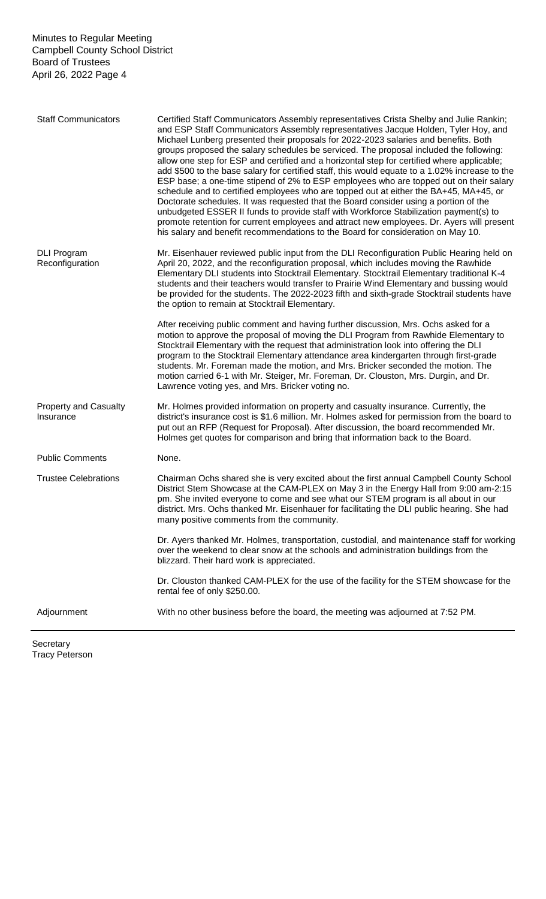| <b>Staff Communicators</b>                | Certified Staff Communicators Assembly representatives Crista Shelby and Julie Rankin;<br>and ESP Staff Communicators Assembly representatives Jacque Holden, Tyler Hoy, and<br>Michael Lunberg presented their proposals for 2022-2023 salaries and benefits. Both<br>groups proposed the salary schedules be serviced. The proposal included the following:<br>allow one step for ESP and certified and a horizontal step for certified where applicable;<br>add \$500 to the base salary for certified staff, this would equate to a 1.02% increase to the<br>ESP base; a one-time stipend of 2% to ESP employees who are topped out on their salary<br>schedule and to certified employees who are topped out at either the BA+45, MA+45, or<br>Doctorate schedules. It was requested that the Board consider using a portion of the<br>unbudgeted ESSER II funds to provide staff with Workforce Stabilization payment(s) to<br>promote retention for current employees and attract new employees. Dr. Ayers will present<br>his salary and benefit recommendations to the Board for consideration on May 10. |
|-------------------------------------------|--------------------------------------------------------------------------------------------------------------------------------------------------------------------------------------------------------------------------------------------------------------------------------------------------------------------------------------------------------------------------------------------------------------------------------------------------------------------------------------------------------------------------------------------------------------------------------------------------------------------------------------------------------------------------------------------------------------------------------------------------------------------------------------------------------------------------------------------------------------------------------------------------------------------------------------------------------------------------------------------------------------------------------------------------------------------------------------------------------------------|
| <b>DLI Program</b><br>Reconfiguration     | Mr. Eisenhauer reviewed public input from the DLI Reconfiguration Public Hearing held on<br>April 20, 2022, and the reconfiguration proposal, which includes moving the Rawhide<br>Elementary DLI students into Stocktrail Elementary. Stocktrail Elementary traditional K-4<br>students and their teachers would transfer to Prairie Wind Elementary and bussing would<br>be provided for the students. The 2022-2023 fifth and sixth-grade Stocktrail students have<br>the option to remain at Stocktrail Elementary.                                                                                                                                                                                                                                                                                                                                                                                                                                                                                                                                                                                            |
|                                           | After receiving public comment and having further discussion, Mrs. Ochs asked for a<br>motion to approve the proposal of moving the DLI Program from Rawhide Elementary to<br>Stocktrail Elementary with the request that administration look into offering the DLI<br>program to the Stocktrail Elementary attendance area kindergarten through first-grade<br>students. Mr. Foreman made the motion, and Mrs. Bricker seconded the motion. The<br>motion carried 6-1 with Mr. Steiger, Mr. Foreman, Dr. Clouston, Mrs. Durgin, and Dr.<br>Lawrence voting yes, and Mrs. Bricker voting no.                                                                                                                                                                                                                                                                                                                                                                                                                                                                                                                       |
| <b>Property and Casualty</b><br>Insurance | Mr. Holmes provided information on property and casualty insurance. Currently, the<br>district's insurance cost is \$1.6 million. Mr. Holmes asked for permission from the board to<br>put out an RFP (Request for Proposal). After discussion, the board recommended Mr.<br>Holmes get quotes for comparison and bring that information back to the Board.                                                                                                                                                                                                                                                                                                                                                                                                                                                                                                                                                                                                                                                                                                                                                        |
| <b>Public Comments</b>                    | None.                                                                                                                                                                                                                                                                                                                                                                                                                                                                                                                                                                                                                                                                                                                                                                                                                                                                                                                                                                                                                                                                                                              |
| <b>Trustee Celebrations</b>               | Chairman Ochs shared she is very excited about the first annual Campbell County School<br>District Stem Showcase at the CAM-PLEX on May 3 in the Energy Hall from 9:00 am-2:15<br>pm. She invited everyone to come and see what our STEM program is all about in our<br>district. Mrs. Ochs thanked Mr. Eisenhauer for facilitating the DLI public hearing. She had<br>many positive comments from the community.                                                                                                                                                                                                                                                                                                                                                                                                                                                                                                                                                                                                                                                                                                  |
|                                           | Dr. Ayers thanked Mr. Holmes, transportation, custodial, and maintenance staff for working<br>over the weekend to clear snow at the schools and administration buildings from the<br>blizzard. Their hard work is appreciated.                                                                                                                                                                                                                                                                                                                                                                                                                                                                                                                                                                                                                                                                                                                                                                                                                                                                                     |
|                                           | Dr. Clouston thanked CAM-PLEX for the use of the facility for the STEM showcase for the<br>rental fee of only \$250.00.                                                                                                                                                                                                                                                                                                                                                                                                                                                                                                                                                                                                                                                                                                                                                                                                                                                                                                                                                                                            |
| Adjournment                               | With no other business before the board, the meeting was adjourned at 7:52 PM.                                                                                                                                                                                                                                                                                                                                                                                                                                                                                                                                                                                                                                                                                                                                                                                                                                                                                                                                                                                                                                     |

Secretary Tracy Peterson